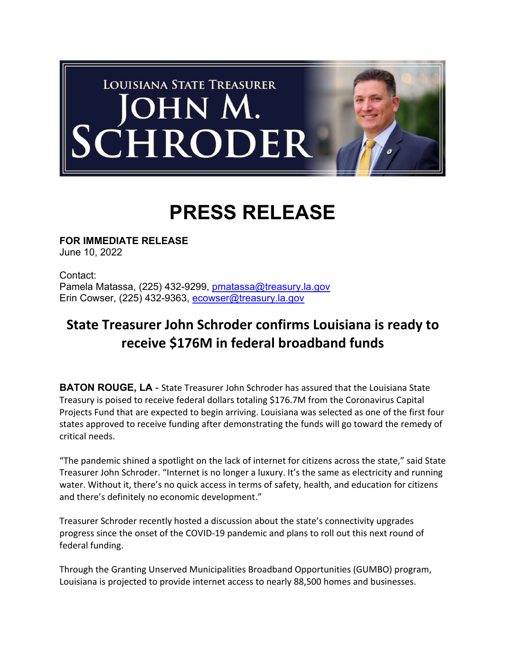

## **PRESS RELEASE**

**FOR IMMEDIATE RELEASE** June 10, 2022

Contact: Pamela Matassa, (225) 432-9299, pmatassa@treasury.la.gov Erin Cowser, (225) 432-9363, ecowser@treasury.la.gov

## **State Treasurer John Schroder confirms Louisiana is ready to receive \$176M in federal broadband funds**

**BATON ROUGE, LA** - State Treasurer John Schroder has assured that the Louisiana State Treasury is poised to receive federal dollars totaling \$176.7M from the Coronavirus Capital Projects Fund that are expected to begin arriving. Louisiana was selected as one of the first four states approved to receive funding after demonstrating the funds will go toward the remedy of critical needs.

"The pandemic shined a spotlight on the lack of internet for citizens across the state," said State Treasurer John Schroder. "Internet is no longer a luxury. It's the same as electricity and running water. Without it, there's no quick access in terms of safety, health, and education for citizens and there's definitely no economic development."

Treasurer Schroder recently hosted a discussion about the state's connectivity upgrades progress since the onset of the COVID‐19 pandemic and plans to roll out this next round of federal funding.

Through the Granting Unserved Municipalities Broadband Opportunities (GUMBO) program, Louisiana is projected to provide internet access to nearly 88,500 homes and businesses.